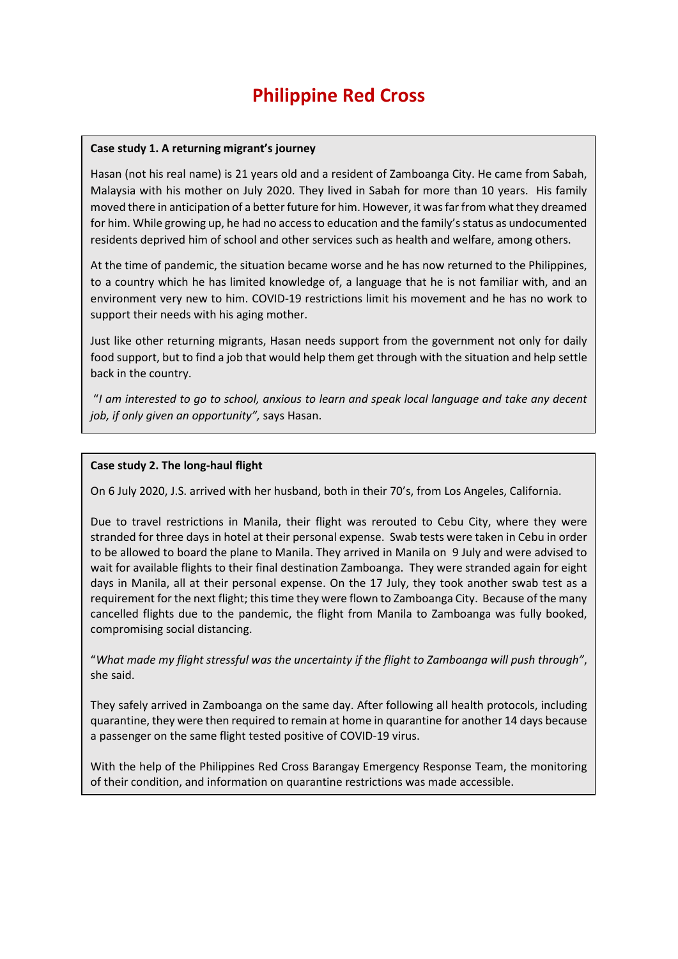## **Philippine Red Cross**

## **Case study 1. A returning migrant's journey**

Hasan (not his real name) is 21 years old and a resident of Zamboanga City. He came from Sabah, Malaysia with his mother on July 2020. They lived in Sabah for more than 10 years. His family moved there in anticipation of a better future for him. However, it was far from what they dreamed for him. While growing up, he had no access to education and the family's status as undocumented residents deprived him of school and other services such as health and welfare, among others.

At the time of pandemic, the situation became worse and he has now returned to the Philippines, to a country which he has limited knowledge of, a language that he is not familiar with, and an environment very new to him. COVID-19 restrictions limit his movement and he has no work to support their needs with his aging mother.

Just like other returning migrants, Hasan needs support from the government not only for daily food support, but to find a job that would help them get through with the situation and help settle back in the country.

 "*I am interested to go to school, anxious to learn and speak local language and take any decent job, if only given an opportunity",* says Hasan.

## **Case study 2. The long-haul flight**

On 6 July 2020, J.S. arrived with her husband, both in their 70's, from Los Angeles, California.

Due to travel restrictions in Manila, their flight was rerouted to Cebu City, where they were stranded for three days in hotel at their personal expense. Swab tests were taken in Cebu in order to be allowed to board the plane to Manila. They arrived in Manila on 9 July and were advised to wait for available flights to their final destination Zamboanga. They were stranded again for eight days in Manila, all at their personal expense. On the 17 July, they took another swab test as a requirement for the next flight; this time they were flown to Zamboanga City. Because of the many cancelled flights due to the pandemic, the flight from Manila to Zamboanga was fully booked, compromising social distancing.

"*What made my flight stressful was the uncertainty if the flight to Zamboanga will push through"*, she said.

They safely arrived in Zamboanga on the same day. After following all health protocols, including quarantine, they were then required to remain at home in quarantine for another 14 days because a passenger on the same flight tested positive of COVID-19 virus.

With the help of the Philippines Red Cross Barangay Emergency Response Team, the monitoring of their condition, and information on quarantine restrictions was made accessible.